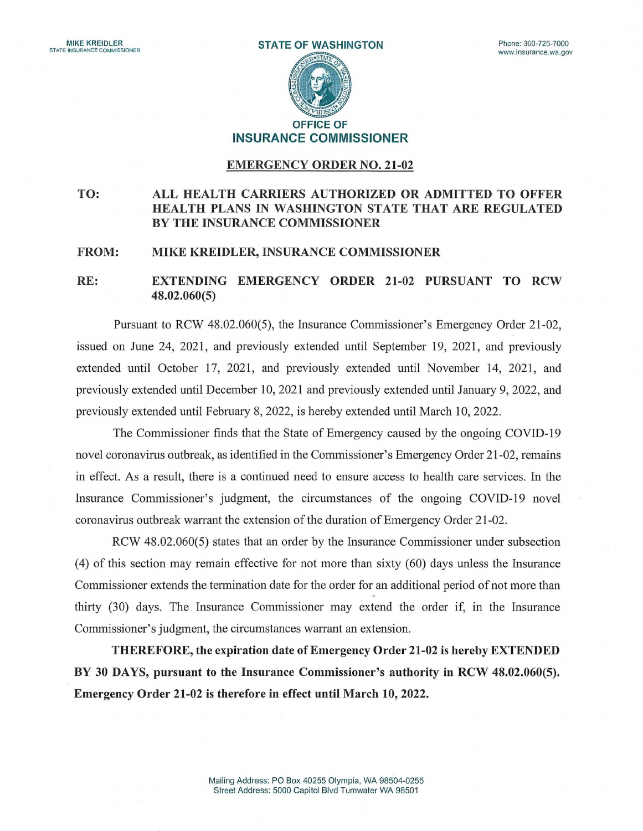**STATE OF WASHINGTON OFFICE OF** 

**INSURANCE COMMISSIONER** 

## **EMERGENCY ORDER NO. 21-02**

## **TO: ALL HEALTH CARRIERS AUTHORIZED OR ADMITTED TO OFFER HEALTH PLANS IN WASHINGTON STATE THAT ARE REGULATED BY THE INSURANCE COMMISSIONER**

## **FROM: MIKE KREIDLER, INSURANCE COMMISSIONER**

## **RE: EXTENDING EMERGENCY ORDER 21-02 PURSUANT TO RCW 48.02.060(5)**

Pursuant to RCW 48.02.060(5), the Insurance Commissioner's Emergency Order 21-02, issued on June 24, 2021, and previously extended until September 19, 2021, and previously extended until October 17, 2021, and previously extended until November 14, 2021, and previously extended until December 10, 2021 and previously extended until January 9, 2022, and previously extended until February 8, 2022, is hereby extended until March 10, 2022.

The Commissioner finds that the State of Emergency caused by the ongoing COVID-19 novel coronavirus outbreak, as identified in the Commissioner's Emergency Order 21-02, remains in effect. As a result, there is a continued need to ensure access to health care services. In the Insurance Commissioner's judgment, the circumstances of the ongoing COVID-19 novel coronavirns outbreak warrant the extension of the duration of Emergency Order 21-02.

RCW 48.02.060(5) states that an order by the Insurance Commissioner under subsection (4) of this section may remain effective for not more than sixty (60) days unless the Insurance Commissioner extends the termination date for the order for an additional period of not more than **4**  thirty (30) days. The Insurance Commissioner may extend the order if, in the Insurance Commissioner's judgment, the circumstances warrant an extension.

**THEREFORE, the expiration date of Emergency Order 21-02 is hereby EXTENDED BY 30 DAYS, pursuant to the Insurance Commissioner's authority in RCW 48.02.060(5). Emergency Order 21-02 is therefore in effect until March 10, 2022.**